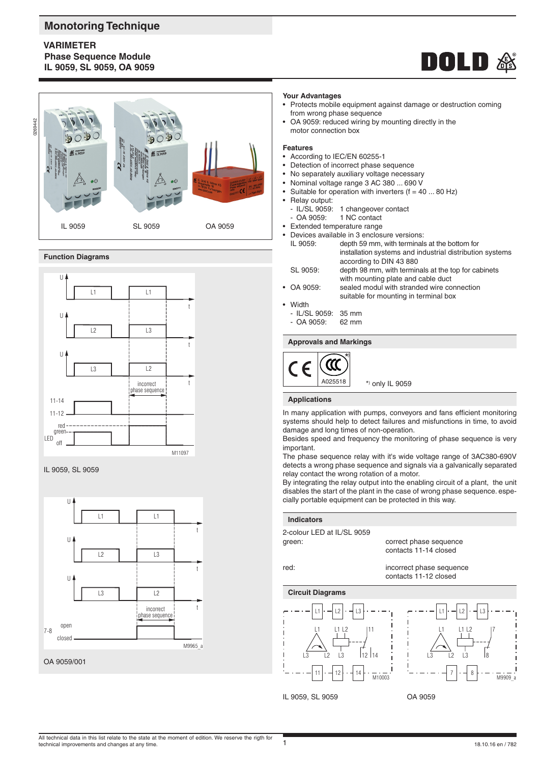# **Monotoring Technique**

# **VARIMETER Phase Sequence Module IL 9059, SL 9059, OA 9059**





### **Function Diagrams**







### **Your Advantages**

- Protects mobile equipment against damage or destruction coming from wrong phase sequence
- OA 9059: reduced wiring by mounting directly in the motor connection box

#### **Features**

- According to IEC/EN 60255-1
- Detection of incorrect phase sequence
- No separately auxiliary voltage necessary
- Nominal voltage range 3 AC 380 ... 690 V
- Suitable for operation with inverters  $(f = 40 \dots 80 \text{ Hz})$
- Relay output:
	- IL/SL 9059: 1 changeover contact<br>- OA 9059: 1 NC contact
- 1 NC contact
- Extended temperature range
- Devices available in 3 enclosure versions: IL 9059: depth 59 mm, with terminals at the bottom for installation systems and industrial distribution systems according to DIN 43 880 SL 9059: depth 98 mm, with terminals at the top for cabinets
- with mounting plate and cable duct
- OA 9059: sealed modul with stranded wire connection suitable for mounting in terminal box
- **Width** 
	- IL/SL 9059: 35 mm<br>- QA 9059: 62 mm
	- $-$  OA 9059:

### **Approvals and Markings**



#### **Applications**

In many application with pumps, conveyors and fans efficient monitoring systems should help to detect failures and misfunctions in time, to avoid damage and long times of non-operation.

Besides speed and frequency the monitoring of phase sequence is very important.

The phase sequence relay with it's wide voltage range of 3AC380-690V detects a wrong phase sequence and signals via a galvanically separated relay contact the wrong rotation of a motor.

By integrating the relay output into the enabling circuit of a plant, the unit disables the start of the plant in the case of wrong phase sequence. especially portable equipment can be protected in this way.

#### **Indicators**

2-colour LED at IL/SL 9059

green: correct phase sequence contacts 11-14 closed

red: incorrect phase sequence contacts 11-12 closed

**Circuit Diagrams**



7

 $\overline{M}$ 9909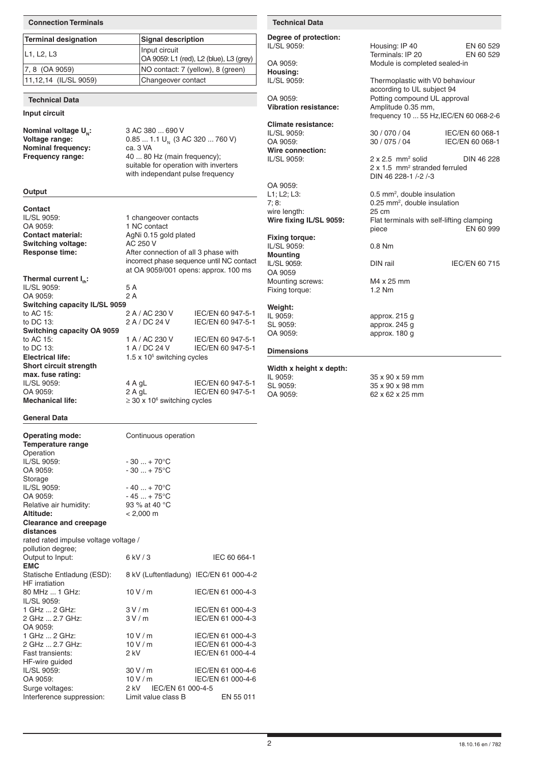| Degree of protection:<br><b>Terminal designation</b><br><b>Signal description</b><br>Housing: IP 40<br>IL/SL 9059:<br>EN 60 529<br>Input circuit<br>Terminals: IP 20<br>L1, L2, L3<br>EN 60 529<br>OA 9059: L1 (red), L2 (blue), L3 (grey)<br>OA 9059:<br>Module is completed sealed-in<br>NO contact: 7 (yellow), 8 (green)<br>7, 8 (OA 9059)<br>Housing:<br>11,12,14 (IL/SL 9059)<br>Changeover contact<br>IL/SL 9059:<br>Thermoplastic with V0 behaviour<br>according to UL subject 94<br>Potting compound UL approval<br>OA 9059:<br><b>Technical Data</b><br><b>Vibration resistance:</b><br>Amplitude 0.35 mm,<br>Input circuit<br>frequency 10  55 Hz, IEC/EN 60 068-2-6<br><b>Climate resistance:</b><br>Nominal voltage U <sub>N</sub> :<br>3 AC 380  690 V<br>30 / 070 / 04<br>IL/SL 9059:<br>IEC/EN 60 068-1<br>Voltage range:<br>$0.851.1$ U <sub>N</sub> (3 AC 320  760 V)<br>30 / 075 / 04<br>OA 9059:<br>IEC/EN 60 068-1<br><b>Nominal frequency:</b><br>ca. 3 VA<br>Wire connection:<br>Frequency range:<br>40  80 Hz (main frequency);<br>IL/SL 9059:<br>$2 \times 2.5$ mm <sup>2</sup> solid<br>DIN 46 228<br>suitable for operation with inverters<br>2 x 1.5 mm <sup>2</sup> stranded ferruled<br>with independant pulse frequency<br>DIN 46 228-1/-2/-3<br>OA 9059:<br>Output<br>0.5 mm <sup>2</sup> , double insulation<br>$L1$ ; $L2$ ; $L3$ :<br>7;8:<br>0.25 mm <sup>2</sup> , double insulation<br>Contact<br>wire length:<br>25 cm<br>IL/SL 9059:<br>1 changeover contacts<br>Wire fixing IL/SL 9059:<br>Flat terminals with self-lifting clamping<br>OA 9059:<br>1 NC contact<br>EN 60 999<br>piece<br>AgNi 0.15 gold plated<br><b>Contact material:</b><br><b>Fixing torque:</b><br>Switching voltage:<br>AC 250 V<br>IL/SL 9059:<br>$0.8$ Nm<br>After connection of all 3 phase with<br><b>Response time:</b><br><b>Mounting</b><br>incorrect phase sequence until NC contact<br>IL/SL 9059:<br>DIN rail<br><b>IEC/EN 60 715</b><br>at OA 9059/001 opens: approx. 100 ms<br>OA 9059<br>Thermal current I <sub>n</sub> :<br>M4 x 25 mm<br>Mounting screws:<br>IL/SL 9059:<br>5 A<br>1.2 Nm<br>Fixing torque:<br>2A<br>OA 9059:<br>Switching capacity IL/SL 9059<br>Weight:<br>to AC 15:<br>2 A / AC 230 V<br>IEC/EN 60 947-5-1<br>IL 9059:<br>approx. 215 g<br>to DC 13:<br>2 A / DC 24 V<br>IEC/EN 60 947-5-1<br>SL 9059:<br>approx. 245 g<br>Switching capacity OA 9059<br>OA 9059:<br>approx. 180 g<br>to AC 15:<br>1 A / AC 230 V<br>IEC/EN 60 947-5-1<br>1 A / DC 24 V<br>to DC 13:<br>IEC/EN 60 947-5-1<br><b>Dimensions</b><br><b>Electrical life:</b><br>$1.5 \times 10^5$ switching cycles<br>Short circuit strength<br>Width x height x depth:<br>max. fuse rating:<br>IL 9059:<br>35 x 90 x 59 mm<br>IL/SL 9059:<br>4 A $gL$<br>IEC/EN 60 947-5-1<br>SL 9059:<br>35 x 90 x 98 mm<br>OA 9059:<br>IEC/EN 60 947-5-1<br>$2$ A gL<br>62 x 62 x 25 mm<br>OA 9059:<br>$\geq$ 30 x 10 <sup>6</sup> switching cycles | <b>Connection Terminals</b> |  |  | <b>Technical Data</b> |  |  |
|------------------------------------------------------------------------------------------------------------------------------------------------------------------------------------------------------------------------------------------------------------------------------------------------------------------------------------------------------------------------------------------------------------------------------------------------------------------------------------------------------------------------------------------------------------------------------------------------------------------------------------------------------------------------------------------------------------------------------------------------------------------------------------------------------------------------------------------------------------------------------------------------------------------------------------------------------------------------------------------------------------------------------------------------------------------------------------------------------------------------------------------------------------------------------------------------------------------------------------------------------------------------------------------------------------------------------------------------------------------------------------------------------------------------------------------------------------------------------------------------------------------------------------------------------------------------------------------------------------------------------------------------------------------------------------------------------------------------------------------------------------------------------------------------------------------------------------------------------------------------------------------------------------------------------------------------------------------------------------------------------------------------------------------------------------------------------------------------------------------------------------------------------------------------------------------------------------------------------------------------------------------------------------------------------------------------------------------------------------------------------------------------------------------------------------------------------------------------------------------------------------------------------------------------------------------------------------------------------------------------------------------------------------------------------------------------------------------------------------------------------------------------------------------------------------------------------------------------------------------------------------------------------------------------------------------------------|-----------------------------|--|--|-----------------------|--|--|
|                                                                                                                                                                                                                                                                                                                                                                                                                                                                                                                                                                                                                                                                                                                                                                                                                                                                                                                                                                                                                                                                                                                                                                                                                                                                                                                                                                                                                                                                                                                                                                                                                                                                                                                                                                                                                                                                                                                                                                                                                                                                                                                                                                                                                                                                                                                                                                                                                                                                                                                                                                                                                                                                                                                                                                                                                                                                                                                                                      |                             |  |  |                       |  |  |
|                                                                                                                                                                                                                                                                                                                                                                                                                                                                                                                                                                                                                                                                                                                                                                                                                                                                                                                                                                                                                                                                                                                                                                                                                                                                                                                                                                                                                                                                                                                                                                                                                                                                                                                                                                                                                                                                                                                                                                                                                                                                                                                                                                                                                                                                                                                                                                                                                                                                                                                                                                                                                                                                                                                                                                                                                                                                                                                                                      |                             |  |  |                       |  |  |
|                                                                                                                                                                                                                                                                                                                                                                                                                                                                                                                                                                                                                                                                                                                                                                                                                                                                                                                                                                                                                                                                                                                                                                                                                                                                                                                                                                                                                                                                                                                                                                                                                                                                                                                                                                                                                                                                                                                                                                                                                                                                                                                                                                                                                                                                                                                                                                                                                                                                                                                                                                                                                                                                                                                                                                                                                                                                                                                                                      |                             |  |  |                       |  |  |
|                                                                                                                                                                                                                                                                                                                                                                                                                                                                                                                                                                                                                                                                                                                                                                                                                                                                                                                                                                                                                                                                                                                                                                                                                                                                                                                                                                                                                                                                                                                                                                                                                                                                                                                                                                                                                                                                                                                                                                                                                                                                                                                                                                                                                                                                                                                                                                                                                                                                                                                                                                                                                                                                                                                                                                                                                                                                                                                                                      |                             |  |  |                       |  |  |
|                                                                                                                                                                                                                                                                                                                                                                                                                                                                                                                                                                                                                                                                                                                                                                                                                                                                                                                                                                                                                                                                                                                                                                                                                                                                                                                                                                                                                                                                                                                                                                                                                                                                                                                                                                                                                                                                                                                                                                                                                                                                                                                                                                                                                                                                                                                                                                                                                                                                                                                                                                                                                                                                                                                                                                                                                                                                                                                                                      |                             |  |  |                       |  |  |
|                                                                                                                                                                                                                                                                                                                                                                                                                                                                                                                                                                                                                                                                                                                                                                                                                                                                                                                                                                                                                                                                                                                                                                                                                                                                                                                                                                                                                                                                                                                                                                                                                                                                                                                                                                                                                                                                                                                                                                                                                                                                                                                                                                                                                                                                                                                                                                                                                                                                                                                                                                                                                                                                                                                                                                                                                                                                                                                                                      |                             |  |  |                       |  |  |
|                                                                                                                                                                                                                                                                                                                                                                                                                                                                                                                                                                                                                                                                                                                                                                                                                                                                                                                                                                                                                                                                                                                                                                                                                                                                                                                                                                                                                                                                                                                                                                                                                                                                                                                                                                                                                                                                                                                                                                                                                                                                                                                                                                                                                                                                                                                                                                                                                                                                                                                                                                                                                                                                                                                                                                                                                                                                                                                                                      |                             |  |  |                       |  |  |
|                                                                                                                                                                                                                                                                                                                                                                                                                                                                                                                                                                                                                                                                                                                                                                                                                                                                                                                                                                                                                                                                                                                                                                                                                                                                                                                                                                                                                                                                                                                                                                                                                                                                                                                                                                                                                                                                                                                                                                                                                                                                                                                                                                                                                                                                                                                                                                                                                                                                                                                                                                                                                                                                                                                                                                                                                                                                                                                                                      |                             |  |  |                       |  |  |
|                                                                                                                                                                                                                                                                                                                                                                                                                                                                                                                                                                                                                                                                                                                                                                                                                                                                                                                                                                                                                                                                                                                                                                                                                                                                                                                                                                                                                                                                                                                                                                                                                                                                                                                                                                                                                                                                                                                                                                                                                                                                                                                                                                                                                                                                                                                                                                                                                                                                                                                                                                                                                                                                                                                                                                                                                                                                                                                                                      |                             |  |  |                       |  |  |
|                                                                                                                                                                                                                                                                                                                                                                                                                                                                                                                                                                                                                                                                                                                                                                                                                                                                                                                                                                                                                                                                                                                                                                                                                                                                                                                                                                                                                                                                                                                                                                                                                                                                                                                                                                                                                                                                                                                                                                                                                                                                                                                                                                                                                                                                                                                                                                                                                                                                                                                                                                                                                                                                                                                                                                                                                                                                                                                                                      |                             |  |  |                       |  |  |
|                                                                                                                                                                                                                                                                                                                                                                                                                                                                                                                                                                                                                                                                                                                                                                                                                                                                                                                                                                                                                                                                                                                                                                                                                                                                                                                                                                                                                                                                                                                                                                                                                                                                                                                                                                                                                                                                                                                                                                                                                                                                                                                                                                                                                                                                                                                                                                                                                                                                                                                                                                                                                                                                                                                                                                                                                                                                                                                                                      |                             |  |  |                       |  |  |
|                                                                                                                                                                                                                                                                                                                                                                                                                                                                                                                                                                                                                                                                                                                                                                                                                                                                                                                                                                                                                                                                                                                                                                                                                                                                                                                                                                                                                                                                                                                                                                                                                                                                                                                                                                                                                                                                                                                                                                                                                                                                                                                                                                                                                                                                                                                                                                                                                                                                                                                                                                                                                                                                                                                                                                                                                                                                                                                                                      |                             |  |  |                       |  |  |
|                                                                                                                                                                                                                                                                                                                                                                                                                                                                                                                                                                                                                                                                                                                                                                                                                                                                                                                                                                                                                                                                                                                                                                                                                                                                                                                                                                                                                                                                                                                                                                                                                                                                                                                                                                                                                                                                                                                                                                                                                                                                                                                                                                                                                                                                                                                                                                                                                                                                                                                                                                                                                                                                                                                                                                                                                                                                                                                                                      |                             |  |  |                       |  |  |
|                                                                                                                                                                                                                                                                                                                                                                                                                                                                                                                                                                                                                                                                                                                                                                                                                                                                                                                                                                                                                                                                                                                                                                                                                                                                                                                                                                                                                                                                                                                                                                                                                                                                                                                                                                                                                                                                                                                                                                                                                                                                                                                                                                                                                                                                                                                                                                                                                                                                                                                                                                                                                                                                                                                                                                                                                                                                                                                                                      |                             |  |  |                       |  |  |
|                                                                                                                                                                                                                                                                                                                                                                                                                                                                                                                                                                                                                                                                                                                                                                                                                                                                                                                                                                                                                                                                                                                                                                                                                                                                                                                                                                                                                                                                                                                                                                                                                                                                                                                                                                                                                                                                                                                                                                                                                                                                                                                                                                                                                                                                                                                                                                                                                                                                                                                                                                                                                                                                                                                                                                                                                                                                                                                                                      |                             |  |  |                       |  |  |
|                                                                                                                                                                                                                                                                                                                                                                                                                                                                                                                                                                                                                                                                                                                                                                                                                                                                                                                                                                                                                                                                                                                                                                                                                                                                                                                                                                                                                                                                                                                                                                                                                                                                                                                                                                                                                                                                                                                                                                                                                                                                                                                                                                                                                                                                                                                                                                                                                                                                                                                                                                                                                                                                                                                                                                                                                                                                                                                                                      |                             |  |  |                       |  |  |
|                                                                                                                                                                                                                                                                                                                                                                                                                                                                                                                                                                                                                                                                                                                                                                                                                                                                                                                                                                                                                                                                                                                                                                                                                                                                                                                                                                                                                                                                                                                                                                                                                                                                                                                                                                                                                                                                                                                                                                                                                                                                                                                                                                                                                                                                                                                                                                                                                                                                                                                                                                                                                                                                                                                                                                                                                                                                                                                                                      |                             |  |  |                       |  |  |
|                                                                                                                                                                                                                                                                                                                                                                                                                                                                                                                                                                                                                                                                                                                                                                                                                                                                                                                                                                                                                                                                                                                                                                                                                                                                                                                                                                                                                                                                                                                                                                                                                                                                                                                                                                                                                                                                                                                                                                                                                                                                                                                                                                                                                                                                                                                                                                                                                                                                                                                                                                                                                                                                                                                                                                                                                                                                                                                                                      |                             |  |  |                       |  |  |
|                                                                                                                                                                                                                                                                                                                                                                                                                                                                                                                                                                                                                                                                                                                                                                                                                                                                                                                                                                                                                                                                                                                                                                                                                                                                                                                                                                                                                                                                                                                                                                                                                                                                                                                                                                                                                                                                                                                                                                                                                                                                                                                                                                                                                                                                                                                                                                                                                                                                                                                                                                                                                                                                                                                                                                                                                                                                                                                                                      |                             |  |  |                       |  |  |
|                                                                                                                                                                                                                                                                                                                                                                                                                                                                                                                                                                                                                                                                                                                                                                                                                                                                                                                                                                                                                                                                                                                                                                                                                                                                                                                                                                                                                                                                                                                                                                                                                                                                                                                                                                                                                                                                                                                                                                                                                                                                                                                                                                                                                                                                                                                                                                                                                                                                                                                                                                                                                                                                                                                                                                                                                                                                                                                                                      |                             |  |  |                       |  |  |
|                                                                                                                                                                                                                                                                                                                                                                                                                                                                                                                                                                                                                                                                                                                                                                                                                                                                                                                                                                                                                                                                                                                                                                                                                                                                                                                                                                                                                                                                                                                                                                                                                                                                                                                                                                                                                                                                                                                                                                                                                                                                                                                                                                                                                                                                                                                                                                                                                                                                                                                                                                                                                                                                                                                                                                                                                                                                                                                                                      |                             |  |  |                       |  |  |
|                                                                                                                                                                                                                                                                                                                                                                                                                                                                                                                                                                                                                                                                                                                                                                                                                                                                                                                                                                                                                                                                                                                                                                                                                                                                                                                                                                                                                                                                                                                                                                                                                                                                                                                                                                                                                                                                                                                                                                                                                                                                                                                                                                                                                                                                                                                                                                                                                                                                                                                                                                                                                                                                                                                                                                                                                                                                                                                                                      |                             |  |  |                       |  |  |
|                                                                                                                                                                                                                                                                                                                                                                                                                                                                                                                                                                                                                                                                                                                                                                                                                                                                                                                                                                                                                                                                                                                                                                                                                                                                                                                                                                                                                                                                                                                                                                                                                                                                                                                                                                                                                                                                                                                                                                                                                                                                                                                                                                                                                                                                                                                                                                                                                                                                                                                                                                                                                                                                                                                                                                                                                                                                                                                                                      |                             |  |  |                       |  |  |
|                                                                                                                                                                                                                                                                                                                                                                                                                                                                                                                                                                                                                                                                                                                                                                                                                                                                                                                                                                                                                                                                                                                                                                                                                                                                                                                                                                                                                                                                                                                                                                                                                                                                                                                                                                                                                                                                                                                                                                                                                                                                                                                                                                                                                                                                                                                                                                                                                                                                                                                                                                                                                                                                                                                                                                                                                                                                                                                                                      |                             |  |  |                       |  |  |
|                                                                                                                                                                                                                                                                                                                                                                                                                                                                                                                                                                                                                                                                                                                                                                                                                                                                                                                                                                                                                                                                                                                                                                                                                                                                                                                                                                                                                                                                                                                                                                                                                                                                                                                                                                                                                                                                                                                                                                                                                                                                                                                                                                                                                                                                                                                                                                                                                                                                                                                                                                                                                                                                                                                                                                                                                                                                                                                                                      |                             |  |  |                       |  |  |
|                                                                                                                                                                                                                                                                                                                                                                                                                                                                                                                                                                                                                                                                                                                                                                                                                                                                                                                                                                                                                                                                                                                                                                                                                                                                                                                                                                                                                                                                                                                                                                                                                                                                                                                                                                                                                                                                                                                                                                                                                                                                                                                                                                                                                                                                                                                                                                                                                                                                                                                                                                                                                                                                                                                                                                                                                                                                                                                                                      |                             |  |  |                       |  |  |
|                                                                                                                                                                                                                                                                                                                                                                                                                                                                                                                                                                                                                                                                                                                                                                                                                                                                                                                                                                                                                                                                                                                                                                                                                                                                                                                                                                                                                                                                                                                                                                                                                                                                                                                                                                                                                                                                                                                                                                                                                                                                                                                                                                                                                                                                                                                                                                                                                                                                                                                                                                                                                                                                                                                                                                                                                                                                                                                                                      |                             |  |  |                       |  |  |
|                                                                                                                                                                                                                                                                                                                                                                                                                                                                                                                                                                                                                                                                                                                                                                                                                                                                                                                                                                                                                                                                                                                                                                                                                                                                                                                                                                                                                                                                                                                                                                                                                                                                                                                                                                                                                                                                                                                                                                                                                                                                                                                                                                                                                                                                                                                                                                                                                                                                                                                                                                                                                                                                                                                                                                                                                                                                                                                                                      |                             |  |  |                       |  |  |
|                                                                                                                                                                                                                                                                                                                                                                                                                                                                                                                                                                                                                                                                                                                                                                                                                                                                                                                                                                                                                                                                                                                                                                                                                                                                                                                                                                                                                                                                                                                                                                                                                                                                                                                                                                                                                                                                                                                                                                                                                                                                                                                                                                                                                                                                                                                                                                                                                                                                                                                                                                                                                                                                                                                                                                                                                                                                                                                                                      |                             |  |  |                       |  |  |
|                                                                                                                                                                                                                                                                                                                                                                                                                                                                                                                                                                                                                                                                                                                                                                                                                                                                                                                                                                                                                                                                                                                                                                                                                                                                                                                                                                                                                                                                                                                                                                                                                                                                                                                                                                                                                                                                                                                                                                                                                                                                                                                                                                                                                                                                                                                                                                                                                                                                                                                                                                                                                                                                                                                                                                                                                                                                                                                                                      |                             |  |  |                       |  |  |
|                                                                                                                                                                                                                                                                                                                                                                                                                                                                                                                                                                                                                                                                                                                                                                                                                                                                                                                                                                                                                                                                                                                                                                                                                                                                                                                                                                                                                                                                                                                                                                                                                                                                                                                                                                                                                                                                                                                                                                                                                                                                                                                                                                                                                                                                                                                                                                                                                                                                                                                                                                                                                                                                                                                                                                                                                                                                                                                                                      |                             |  |  |                       |  |  |
|                                                                                                                                                                                                                                                                                                                                                                                                                                                                                                                                                                                                                                                                                                                                                                                                                                                                                                                                                                                                                                                                                                                                                                                                                                                                                                                                                                                                                                                                                                                                                                                                                                                                                                                                                                                                                                                                                                                                                                                                                                                                                                                                                                                                                                                                                                                                                                                                                                                                                                                                                                                                                                                                                                                                                                                                                                                                                                                                                      |                             |  |  |                       |  |  |
|                                                                                                                                                                                                                                                                                                                                                                                                                                                                                                                                                                                                                                                                                                                                                                                                                                                                                                                                                                                                                                                                                                                                                                                                                                                                                                                                                                                                                                                                                                                                                                                                                                                                                                                                                                                                                                                                                                                                                                                                                                                                                                                                                                                                                                                                                                                                                                                                                                                                                                                                                                                                                                                                                                                                                                                                                                                                                                                                                      |                             |  |  |                       |  |  |
|                                                                                                                                                                                                                                                                                                                                                                                                                                                                                                                                                                                                                                                                                                                                                                                                                                                                                                                                                                                                                                                                                                                                                                                                                                                                                                                                                                                                                                                                                                                                                                                                                                                                                                                                                                                                                                                                                                                                                                                                                                                                                                                                                                                                                                                                                                                                                                                                                                                                                                                                                                                                                                                                                                                                                                                                                                                                                                                                                      |                             |  |  |                       |  |  |
|                                                                                                                                                                                                                                                                                                                                                                                                                                                                                                                                                                                                                                                                                                                                                                                                                                                                                                                                                                                                                                                                                                                                                                                                                                                                                                                                                                                                                                                                                                                                                                                                                                                                                                                                                                                                                                                                                                                                                                                                                                                                                                                                                                                                                                                                                                                                                                                                                                                                                                                                                                                                                                                                                                                                                                                                                                                                                                                                                      |                             |  |  |                       |  |  |
|                                                                                                                                                                                                                                                                                                                                                                                                                                                                                                                                                                                                                                                                                                                                                                                                                                                                                                                                                                                                                                                                                                                                                                                                                                                                                                                                                                                                                                                                                                                                                                                                                                                                                                                                                                                                                                                                                                                                                                                                                                                                                                                                                                                                                                                                                                                                                                                                                                                                                                                                                                                                                                                                                                                                                                                                                                                                                                                                                      |                             |  |  |                       |  |  |
|                                                                                                                                                                                                                                                                                                                                                                                                                                                                                                                                                                                                                                                                                                                                                                                                                                                                                                                                                                                                                                                                                                                                                                                                                                                                                                                                                                                                                                                                                                                                                                                                                                                                                                                                                                                                                                                                                                                                                                                                                                                                                                                                                                                                                                                                                                                                                                                                                                                                                                                                                                                                                                                                                                                                                                                                                                                                                                                                                      |                             |  |  |                       |  |  |
|                                                                                                                                                                                                                                                                                                                                                                                                                                                                                                                                                                                                                                                                                                                                                                                                                                                                                                                                                                                                                                                                                                                                                                                                                                                                                                                                                                                                                                                                                                                                                                                                                                                                                                                                                                                                                                                                                                                                                                                                                                                                                                                                                                                                                                                                                                                                                                                                                                                                                                                                                                                                                                                                                                                                                                                                                                                                                                                                                      |                             |  |  |                       |  |  |
|                                                                                                                                                                                                                                                                                                                                                                                                                                                                                                                                                                                                                                                                                                                                                                                                                                                                                                                                                                                                                                                                                                                                                                                                                                                                                                                                                                                                                                                                                                                                                                                                                                                                                                                                                                                                                                                                                                                                                                                                                                                                                                                                                                                                                                                                                                                                                                                                                                                                                                                                                                                                                                                                                                                                                                                                                                                                                                                                                      |                             |  |  |                       |  |  |
|                                                                                                                                                                                                                                                                                                                                                                                                                                                                                                                                                                                                                                                                                                                                                                                                                                                                                                                                                                                                                                                                                                                                                                                                                                                                                                                                                                                                                                                                                                                                                                                                                                                                                                                                                                                                                                                                                                                                                                                                                                                                                                                                                                                                                                                                                                                                                                                                                                                                                                                                                                                                                                                                                                                                                                                                                                                                                                                                                      | <b>Mechanical life:</b>     |  |  |                       |  |  |

## **General Data**

| <b>Operating mode:</b><br><b>Temperature range</b><br>Operation | Continuous operation                   |                   |
|-----------------------------------------------------------------|----------------------------------------|-------------------|
| IL/SL 9059:                                                     | $-30  + 70^{\circ}C$                   |                   |
| OA 9059:                                                        | $-30+75^{\circ}C$                      |                   |
| Storage                                                         |                                        |                   |
| IL/SL 9059:                                                     | $-40+70$ °C                            |                   |
| OA 9059:                                                        | $-45+75^{\circ}C$                      |                   |
| Relative air humidity:                                          | 93 % at 40 °C                          |                   |
| Altitude:                                                       | $< 2,000 \text{ m}$                    |                   |
| <b>Clearance and creepage</b><br>distances                      |                                        |                   |
| rated rated impulse voltage voltage /                           |                                        |                   |
| pollution degree;                                               |                                        |                   |
| Output to Input:                                                | 6 kV / 3                               | IEC 60 664-1      |
| <b>EMC</b>                                                      |                                        |                   |
| Statische Entladung (ESD):                                      | 8 kV (Luftentladung) IEC/EN 61 000-4-2 |                   |
| <b>HF</b> irratiation                                           |                                        |                   |
| 80 MHz  1 GHz:                                                  | 10V/m                                  | IEC/EN 61 000-4-3 |
| IL/SL 9059:                                                     |                                        |                   |
| 1 GHz  2 GHz:                                                   | 3V/m                                   | IEC/EN 61 000-4-3 |
| 2 GHz  2.7 GHz:                                                 | 3V/m                                   | IEC/EN 61 000-4-3 |
| OA 9059:                                                        |                                        |                   |
| 1 GHz  2 GHz:                                                   | 10V/m                                  | IEC/EN 61 000-4-3 |
| 2 GHz  2.7 GHz:                                                 | 10V/m                                  | IEC/EN 61 000-4-3 |
| Fast transients:                                                | 2 kV                                   | IEC/EN 61 000-4-4 |
| HF-wire guided<br>IL/SL 9059:                                   | 30V/m                                  | IEC/EN 61 000-4-6 |
| OA 9059:                                                        | 10V/m                                  | IEC/EN 61 000-4-6 |
| Surge voltages:                                                 | 2 kV IEC/EN 61 000-4-5                 |                   |
| Interference suppression:                                       | Limit value class B                    | EN 55 011         |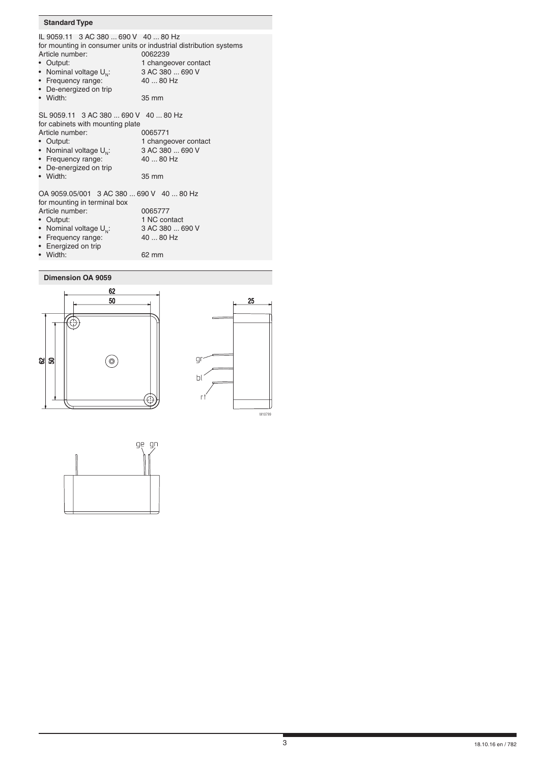# **Standard Type**

| IL 9059.11 3 AC 380  690 V 40  80 Hz<br>Article number:<br>• Output:<br>• Nominal voltage $U_{N}$ :<br>• Frequency range:<br>• De-energized on trip<br>• Width:                                     | for mounting in consumer units or industrial distribution systems<br>0062239<br>1 changeover contact<br>3 AC 380  690 V<br>40  80 Hz<br>35 mm |
|-----------------------------------------------------------------------------------------------------------------------------------------------------------------------------------------------------|-----------------------------------------------------------------------------------------------------------------------------------------------|
| SL 9059.11 3 AC 380  690 V 40  80 Hz<br>for cabinets with mounting plate<br>Article number:<br>• Output:<br>• Nominal voltage $U_{N}$ :<br>• Frequency range:<br>• De-energized on trip<br>• Width: | 0065771<br>1 changeover contact<br>3 AC 380  690 V<br>40  80 Hz<br>35 mm                                                                      |
| OA 9059.05/001 3 AC 380  690 V 40  80 Hz<br>for mounting in terminal box<br>Article number:<br>Output:<br>• Nominal voltage $U_{N}$ :<br>Frequency range:<br>• Energized on trip<br>• Width:        | 0065777<br>1 NC contact<br>3 AC 380  690 V<br>40  80 Hz<br>62 mm                                                                              |

- 
- 

**Dimension OA 9059**